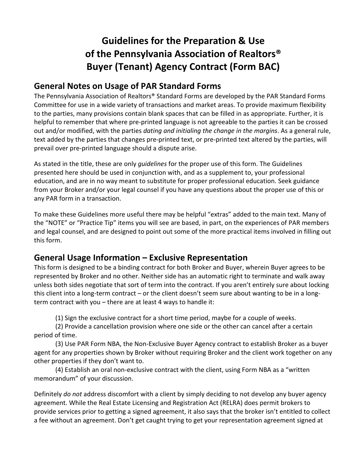# **Guidelines for the Preparation & Use of the Pennsylvania Association of Realtors® Buyer (Tenant) Agency Contract (Form BAC)**

### **General Notes on Usage of PAR Standard Forms**

The Pennsylvania Association of Realtors® Standard Forms are developed by the PAR Standard Forms Committee for use in a wide variety of transactions and market areas. To provide maximum flexibility to the parties, many provisions contain blank spaces that can be filled in as appropriate. Further, it is helpful to remember that where pre-printed language is not agreeable to the parties it can be crossed out and/or modified, with the parties *dating and initialing the change in the margins*. As a general rule, text added by the parties that changes pre-printed text, or pre-printed text altered by the parties, will prevail over pre-printed language should a dispute arise.

As stated in the title, these are only *guidelines* for the proper use of this form. The Guidelines presented here should be used in conjunction with, and as a supplement to, your professional education, and are in no way meant to substitute for proper professional education. Seek guidance from your Broker and/or your legal counsel if you have any questions about the proper use of this or any PAR form in a transaction.

To make these Guidelines more useful there may be helpful "extras" added to the main text. Many of the "NOTE" or "Practice Tip" items you will see are based, in part, on the experiences of PAR members and legal counsel, and are designed to point out some of the more practical items involved in filling out this form.

# **General Usage Information – Exclusive Representation**

This form is designed to be a binding contract for both Broker and Buyer, wherein Buyer agrees to be represented by Broker and no other. Neither side has an automatic right to terminate and walk away unless both sides negotiate that sort of term into the contract. If you aren't entirely sure about locking this client into a long-term contract – or the client doesn't seem sure about wanting to be in a longterm contract with you – there are at least 4 ways to handle it:

(1) Sign the exclusive contract for a short time period, maybe for a couple of weeks.

(2) Provide a cancellation provision where one side or the other can cancel after a certain period of time.

(3) Use PAR Form NBA, the Non-Exclusive Buyer Agency contract to establish Broker as a buyer agent for any properties shown by Broker without requiring Broker and the client work together on any other properties if they don't want to.

(4) Establish an oral non-exclusive contract with the client, using Form NBA as a "written memorandum" of your discussion.

Definitely *do not* address discomfort with a client by simply deciding to not develop any buyer agency agreement. While the Real Estate Licensing and Registration Act (RELRA) does permit brokers to provide services prior to getting a signed agreement, it also says that the broker isn't entitled to collect a fee without an agreement. Don't get caught trying to get your representation agreement signed at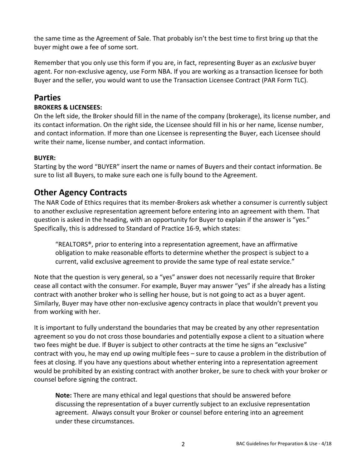the same time as the Agreement of Sale. That probably isn't the best time to first bring up that the buyer might owe a fee of some sort.

Remember that you only use this form if you are, in fact, representing Buyer as an *exclusive* buyer agent. For non-exclusive agency, use Form NBA. If you are working as a transaction licensee for both Buyer and the seller, you would want to use the Transaction Licensee Contract (PAR Form TLC).

# **Parties**

### **BROKERS & LICENSEES:**

On the left side, the Broker should fill in the name of the company (brokerage), its license number, and its contact information. On the right side, the Licensee should fill in his or her name, license number, and contact information. If more than one Licensee is representing the Buyer, each Licensee should write their name, license number, and contact information.

### **BUYER:**

Starting by the word "BUYER" insert the name or names of Buyers and their contact information. Be sure to list all Buyers, to make sure each one is fully bound to the Agreement.

# **Other Agency Contracts**

The NAR Code of Ethics requires that its member-Brokers ask whether a consumer is currently subject to another exclusive representation agreement before entering into an agreement with them. That question is asked in the heading, with an opportunity for Buyer to explain if the answer is "yes." Specifically, this is addressed to Standard of Practice 16-9, which states:

"REALTORS®, prior to entering into a representation agreement, have an affirmative obligation to make reasonable efforts to determine whether the prospect is subject to a current, valid exclusive agreement to provide the same type of real estate service."

Note that the question is very general, so a "yes" answer does not necessarily require that Broker cease all contact with the consumer. For example, Buyer may answer "yes" if she already has a listing contract with another broker who is selling her house, but is not going to act as a buyer agent. Similarly, Buyer may have other non-exclusive agency contracts in place that wouldn't prevent you from working with her.

It is important to fully understand the boundaries that may be created by any other representation agreement so you do not cross those boundaries and potentially expose a client to a situation where two fees might be due. If Buyer is subject to other contracts at the time he signs an "exclusive" contract with you, he may end up owing multiple fees – sure to cause a problem in the distribution of fees at closing. If you have any questions about whether entering into a representation agreement would be prohibited by an existing contract with another broker, be sure to check with your broker or counsel before signing the contract.

**Note:** There are many ethical and legal questions that should be answered before discussing the representation of a buyer currently subject to an exclusive representation agreement. Always consult your Broker or counsel before entering into an agreement under these circumstances.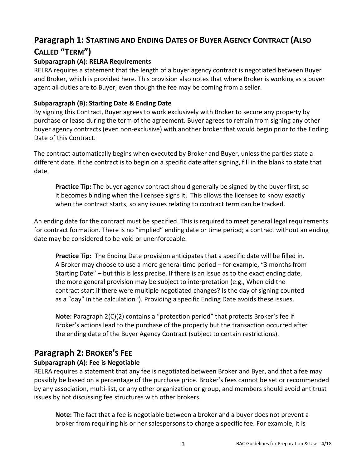# **Paragraph 1: STARTING AND ENDING DATES OF BUYER AGENCY CONTRACT (ALSO CALLED "TERM")**

### **Subparagraph (A): RELRA Requirements**

RELRA requires a statement that the length of a buyer agency contract is negotiated between Buyer and Broker, which is provided here. This provision also notes that where Broker is working as a buyer agent all duties are to Buyer, even though the fee may be coming from a seller.

#### **Subparagraph (B): Starting Date & Ending Date**

By signing this Contract, Buyer agrees to work exclusively with Broker to secure any property by purchase or lease during the term of the agreement. Buyer agrees to refrain from signing any other buyer agency contracts (even non-exclusive) with another broker that would begin prior to the Ending Date of this Contract.

The contract automatically begins when executed by Broker and Buyer, unless the parties state a different date. If the contract is to begin on a specific date after signing, fill in the blank to state that date.

**Practice Tip:** The buyer agency contract should generally be signed by the buyer first, so it becomes binding when the licensee signs it. This allows the licensee to know exactly when the contract starts, so any issues relating to contract term can be tracked.

An ending date for the contract must be specified. This is required to meet general legal requirements for contract formation. There is no "implied" ending date or time period; a contract without an ending date may be considered to be void or unenforceable.

**Practice Tip:** The Ending Date provision anticipates that a specific date will be filled in. A Broker may choose to use a more general time period – for example, "3 months from Starting Date" – but this is less precise. If there is an issue as to the exact ending date, the more general provision may be subject to interpretation (e.g., When did the contract start if there were multiple negotiated changes? Is the day of signing counted as a "day" in the calculation?). Providing a specific Ending Date avoids these issues.

**Note:** Paragraph 2(C)(2) contains a "protection period" that protects Broker's fee if Broker's actions lead to the purchase of the property but the transaction occurred after the ending date of the Buyer Agency Contract (subject to certain restrictions).

# **Paragraph 2: BROKER'S FEE**

### **Subparagraph (A): Fee is Negotiable**

RELRA requires a statement that any fee is negotiated between Broker and Byer, and that a fee may possibly be based on a percentage of the purchase price. Broker's fees cannot be set or recommended by any association, multi-list, or any other organization or group, and members should avoid antitrust issues by not discussing fee structures with other brokers.

**Note:** The fact that a fee is negotiable between a broker and a buyer does not prevent a broker from requiring his or her salespersons to charge a specific fee. For example, it is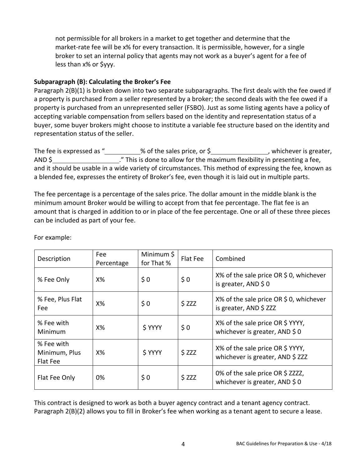not permissible for all brokers in a market to get together and determine that the market-rate fee will be x% for every transaction. It is permissible, however, for a single broker to set an internal policy that agents may not work as a buyer's agent for a fee of less than x% or \$yyy.

#### **Subparagraph (B): Calculating the Broker's Fee**

Paragraph 2(B)(1) is broken down into two separate subparagraphs. The first deals with the fee owed if a property is purchased from a seller represented by a broker; the second deals with the fee owed if a property is purchased from an unrepresented seller (FSBO). Just as some listing agents have a policy of accepting variable compensation from sellers based on the identity and representation status of a buyer, some buyer brokers might choose to institute a variable fee structure based on the identity and representation status of the seller.

The fee is expressed as " $\_\_\_\_\_\$ % of the sales price, or \$ $\_\_\_\_\_\_\_\_\_\_\_\_\$ , whichever is greater, AND \$ ." This is done to allow for the maximum flexibility in presenting a fee, and it should be usable in a wide variety of circumstances. This method of expressing the fee, known as a blended fee, expresses the entirety of Broker's fee, even though it is laid out in multiple parts.

The fee percentage is a percentage of the sales price. The dollar amount in the middle blank is the minimum amount Broker would be willing to accept from that fee percentage. The flat fee is an amount that is charged in addition to or in place of the fee percentage. One or all of these three pieces can be included as part of your fee.

| Description                             | Fee<br>Percentage | Minimum \$<br>for That % | Flat Fee | Combined                                                             |
|-----------------------------------------|-------------------|--------------------------|----------|----------------------------------------------------------------------|
| % Fee Only                              | $X\%$             | \$0                      | \$0      | $X\%$ of the sale price OR \$ 0, whichever<br>is greater, AND $$0$   |
| % Fee, Plus Flat<br>Fee                 | Х%                | \$0                      | \$ZZZ    | X% of the sale price OR \$0, whichever<br>is greater, AND \$ ZZZ     |
| % Fee with<br>Minimum                   | $X\%$             | \$ YYYY                  | \$0      | X% of the sale price OR \$YYYY,<br>whichever is greater, AND \$0     |
| % Fee with<br>Minimum, Plus<br>Flat Fee | $X\%$             | \$ YYYY                  | \$ZZZ    | X% of the sale price OR \$ YYYY,<br>whichever is greater, AND \$ ZZZ |
| Flat Fee Only                           | 0%                | \$0                      | \$ZZZ    | 0% of the sale price OR \$ ZZZZ,<br>whichever is greater, AND $$0$   |

For example:

This contract is designed to work as both a buyer agency contract and a tenant agency contract. Paragraph 2(B)(2) allows you to fill in Broker's fee when working as a tenant agent to secure a lease.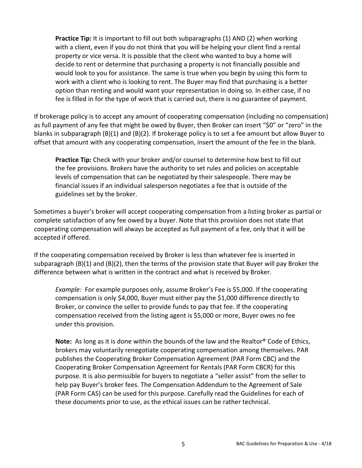**Practice Tip:** It is important to fill out both subparagraphs (1) AND (2) when working with a client, even if you do not think that you will be helping your client find a rental property or vice versa. It is possible that the client who wanted to buy a home will decide to rent or determine that purchasing a property is not financially possible and would look to you for assistance. The same is true when you begin by using this form to work with a client who is looking to rent. The Buyer may find that purchasing is a better option than renting and would want your representation in doing so. In either case, if no fee is filled in for the type of work that is carried out, there is no guarantee of payment.

If brokerage policy is to accept any amount of cooperating compensation (including no compensation) as full payment of any fee that might be owed by Buyer, then Broker can insert "\$0" or "zero" in the blanks in subparagraph (B)(1) and (B)(2). If brokerage policy is to set a fee amount but allow Buyer to offset that amount with any cooperating compensation, insert the amount of the fee in the blank.

**Practice Tip:** Check with your broker and/or counsel to determine how best to fill out the fee provisions. Brokers have the authority to set rules and policies on acceptable levels of compensation that can be negotiated by their salespeople. There may be financial issues if an individual salesperson negotiates a fee that is outside of the guidelines set by the broker.

Sometimes a buyer's broker will accept cooperating compensation from a listing broker as partial or complete satisfaction of any fee owed by a buyer. Note that this provision does not state that cooperating compensation will always be accepted as full payment of a fee, only that it will be accepted if offered.

If the cooperating compensation received by Broker is less than whatever fee is inserted in subparagraph (B)(1) and (B)(2), then the terms of the provision state that Buyer will pay Broker the difference between what is written in the contract and what is received by Broker.

*Example:* For example purposes only, assume Broker's Fee is \$5,000. If the cooperating compensation is only \$4,000, Buyer must either pay the \$1,000 difference directly to Broker, or convince the seller to provide funds to pay that fee. If the cooperating compensation received from the listing agent is \$5,000 or more, Buyer owes no fee under this provision.

**Note:** As long as it is done within the bounds of the law and the Realtor® Code of Ethics, brokers may voluntarily renegotiate cooperating compensation among themselves. PAR publishes the Cooperating Broker Compensation Agreement (PAR Form CBC) and the Cooperating Broker Compensation Agreement for Rentals (PAR Form CBCR) for this purpose. It is also permissible for buyers to negotiate a "seller assist" from the seller to help pay Buyer's broker fees. The Compensation Addendum to the Agreement of Sale (PAR Form CAS) can be used for this purpose. Carefully read the Guidelines for each of these documents prior to use, as the ethical issues can be rather technical.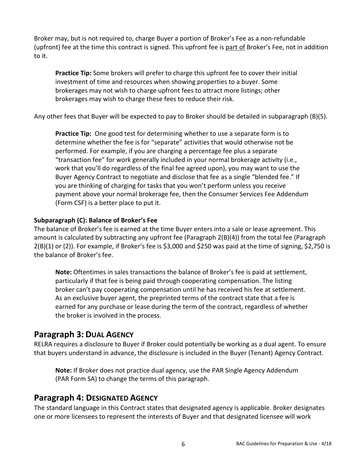Broker may, but is not required to, charge Buyer a portion of Broker's Fee as a non-refundable (upfront) fee at the time this contract is signed. This upfront fee is part of Broker's Fee, not in addition to it.

**Practice Tip:** Some brokers will prefer to charge this upfront fee to cover their initial investment of time and resources when showing properties to a buyer. Some brokerages may not wish to charge upfront fees to attract more listings; other brokerages may wish to charge these fees to reduce their risk.

Any other fees that Buyer will be expected to pay to Broker should be detailed in subparagraph (B)(5).

**Practice Tip:** One good test for determining whether to use a separate form is to determine whether the fee is for "separate" activities that would otherwise not be performed. For example, if you are charging a percentage fee plus a separate "transaction fee" for work generally included in your normal brokerage activity (i.e., work that you'll do regardless of the final fee agreed upon), you may want to use the Buyer Agency Contract to negotiate and disclose that fee as a single "blended fee." If you are thinking of charging for tasks that you won't perform unless you receive payment above your normal brokerage fee, then the Consumer Services Fee Addendum (Form CSF) is a better place to put it.

#### **Subparagraph (C): Balance of Broker's Fee**

The balance of Broker's fee is earned at the time Buyer enters into a sale or lease agreement. This amount is calculated by subtracting any upfront fee (Paragraph 2(B)(4)) from the total fee (Paragraph 2(B)(1) or (2)). For example, if Broker's fee is \$3,000 and \$250 was paid at the time of signing, \$2,750 is the balance of Broker's fee.

**Note:** Oftentimes in sales transactions the balance of Broker's fee is paid at settlement, particularly if that fee is being paid through cooperating compensation. The listing broker can't pay cooperating compensation until he has received his fee at settlement. As an exclusive buyer agent, the preprinted terms of the contract state that a fee is earned for any purchase or lease during the term of the contract, regardless of whether the broker is involved in the process.

# **Paragraph 3: DUAL AGENCY**

RELRA requires a disclosure to Buyer if Broker could potentially be working as a dual agent. To ensure that buyers understand in advance, the disclosure is included in the Buyer (Tenant) Agency Contract.

**Note:** If Broker does not practice dual agency, use the PAR Single Agency Addendum (PAR Form SA) to change the terms of this paragraph.

### **Paragraph 4: DESIGNATED AGENCY**

The standard language in this Contract states that designated agency is applicable. Broker designates one or more licensees to represent the interests of Buyer and that designated licensee will work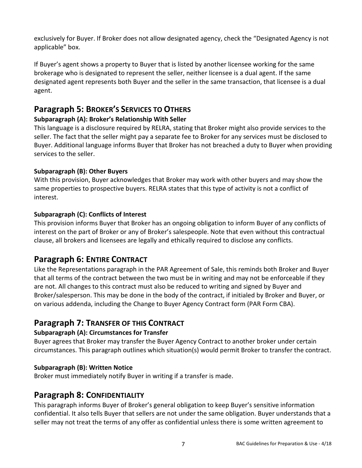exclusively for Buyer. If Broker does not allow designated agency, check the "Designated Agency is not applicable" box.

If Buyer's agent shows a property to Buyer that is listed by another licensee working for the same brokerage who is designated to represent the seller, neither licensee is a dual agent. If the same designated agent represents both Buyer and the seller in the same transaction, that licensee is a dual agent.

# **Paragraph 5: BROKER'S SERVICES TO OTHERS**

#### **Subparagraph (A): Broker's Relationship With Seller**

This language is a disclosure required by RELRA, stating that Broker might also provide services to the seller. The fact that the seller might pay a separate fee to Broker for any services must be disclosed to Buyer. Additional language informs Buyer that Broker has not breached a duty to Buyer when providing services to the seller.

#### **Subparagraph (B): Other Buyers**

With this provision, Buyer acknowledges that Broker may work with other buyers and may show the same properties to prospective buyers. RELRA states that this type of activity is not a conflict of interest.

#### **Subparagraph (C): Conflicts of Interest**

This provision informs Buyer that Broker has an ongoing obligation to inform Buyer of any conflicts of interest on the part of Broker or any of Broker's salespeople. Note that even without this contractual clause, all brokers and licensees are legally and ethically required to disclose any conflicts.

# **Paragraph 6: ENTIRE CONTRACT**

Like the Representations paragraph in the PAR Agreement of Sale, this reminds both Broker and Buyer that all terms of the contract between the two must be in writing and may not be enforceable if they are not. All changes to this contract must also be reduced to writing and signed by Buyer and Broker/salesperson. This may be done in the body of the contract, if initialed by Broker and Buyer, or on various addenda, including the Change to Buyer Agency Contract form (PAR Form CBA).

### **Paragraph 7: TRANSFER OF THIS CONTRACT**

#### **Subparagraph (A): Circumstances for Transfer**

Buyer agrees that Broker may transfer the Buyer Agency Contract to another broker under certain circumstances. This paragraph outlines which situation(s) would permit Broker to transfer the contract.

#### **Subparagraph (B): Written Notice**

Broker must immediately notify Buyer in writing if a transfer is made.

### **Paragraph 8: CONFIDENTIALITY**

This paragraph informs Buyer of Broker's general obligation to keep Buyer's sensitive information confidential. It also tells Buyer that sellers are not under the same obligation. Buyer understands that a seller may not treat the terms of any offer as confidential unless there is some written agreement to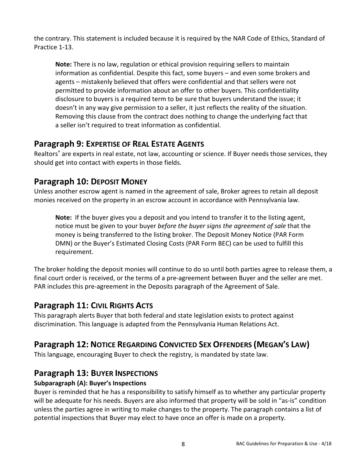the contrary. This statement is included because it is required by the NAR Code of Ethics, Standard of Practice 1-13.

**Note:** There is no law, regulation or ethical provision requiring sellers to maintain information as confidential. Despite this fact, some buyers – and even some brokers and agents – mistakenly believed that offers were confidential and that sellers were not permitted to provide information about an offer to other buyers. This confidentiality disclosure to buyers is a required term to be sure that buyers understand the issue; it doesn't in any way give permission to a seller, it just reflects the reality of the situation. Removing this clause from the contract does nothing to change the underlying fact that a seller isn't required to treat information as confidential.

### **Paragraph 9: EXPERTISE OF REAL ESTATE AGENTS**

Realtors® are experts in real estate, not law, accounting or science. If Buyer needs those services, they should get into contact with experts in those fields.

# **Paragraph 10: DEPOSIT MONEY**

Unless another escrow agent is named in the agreement of sale, Broker agrees to retain all deposit monies received on the property in an escrow account in accordance with Pennsylvania law.

**Note:** If the buyer gives you a deposit and you intend to transfer it to the listing agent, notice must be given to your buyer *before the buyer signs the agreement of sale* that the money is being transferred to the listing broker. The Deposit Money Notice (PAR Form DMN) or the Buyer's Estimated Closing Costs (PAR Form BEC) can be used to fulfill this requirement.

The broker holding the deposit monies will continue to do so until both parties agree to release them, a final court order is received, or the terms of a pre-agreement between Buyer and the seller are met. PAR includes this pre-agreement in the Deposits paragraph of the Agreement of Sale.

# **Paragraph 11: CIVIL RIGHTS ACTS**

This paragraph alerts Buyer that both federal and state legislation exists to protect against discrimination. This language is adapted from the Pennsylvania Human Relations Act.

# **Paragraph 12: NOTICE REGARDING CONVICTED SEX OFFENDERS (MEGAN'S LAW)**

This language, encouraging Buyer to check the registry, is mandated by state law.

# **Paragraph 13: BUYER INSPECTIONS**

### **Subparagraph (A): Buyer's Inspections**

Buyer is reminded that he has a responsibility to satisfy himself as to whether any particular property will be adequate for his needs. Buyers are also informed that property will be sold in "as-is" condition unless the parties agree in writing to make changes to the property. The paragraph contains a list of potential inspections that Buyer may elect to have once an offer is made on a property.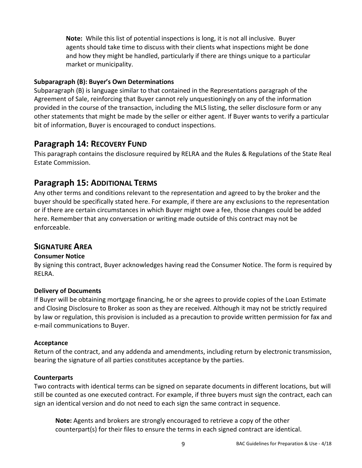**Note:** While this list of potential inspections is long, it is not all inclusive. Buyer agents should take time to discuss with their clients what inspections might be done and how they might be handled, particularly if there are things unique to a particular market or municipality.

#### **Subparagraph (B): Buyer's Own Determinations**

Subparagraph (B) is language similar to that contained in the Representations paragraph of the Agreement of Sale, reinforcing that Buyer cannot rely unquestioningly on any of the information provided in the course of the transaction, including the MLS listing, the seller disclosure form or any other statements that might be made by the seller or either agent. If Buyer wants to verify a particular bit of information, Buyer is encouraged to conduct inspections.

### **Paragraph 14: RECOVERY FUND**

This paragraph contains the disclosure required by RELRA and the Rules & Regulations of the State Real Estate Commission.

### **Paragraph 15: ADDITIONAL TERMS**

Any other terms and conditions relevant to the representation and agreed to by the broker and the buyer should be specifically stated here. For example, if there are any exclusions to the representation or if there are certain circumstances in which Buyer might owe a fee, those changes could be added here. Remember that any conversation or writing made outside of this contract may not be enforceable.

#### **SIGNATURE AREA**

#### **Consumer Notice**

By signing this contract, Buyer acknowledges having read the Consumer Notice. The form is required by RELRA.

#### **Delivery of Documents**

If Buyer will be obtaining mortgage financing, he or she agrees to provide copies of the Loan Estimate and Closing Disclosure to Broker as soon as they are received. Although it may not be strictly required by law or regulation, this provision is included as a precaution to provide written permission for fax and e-mail communications to Buyer.

#### **Acceptance**

Return of the contract, and any addenda and amendments, including return by electronic transmission, bearing the signature of all parties constitutes acceptance by the parties.

#### **Counterparts**

Two contracts with identical terms can be signed on separate documents in different locations, but will still be counted as one executed contract. For example, if three buyers must sign the contract, each can sign an identical version and do not need to each sign the same contract in sequence.

**Note:** Agents and brokers are strongly encouraged to retrieve a copy of the other counterpart(s) for their files to ensure the terms in each signed contract are identical.